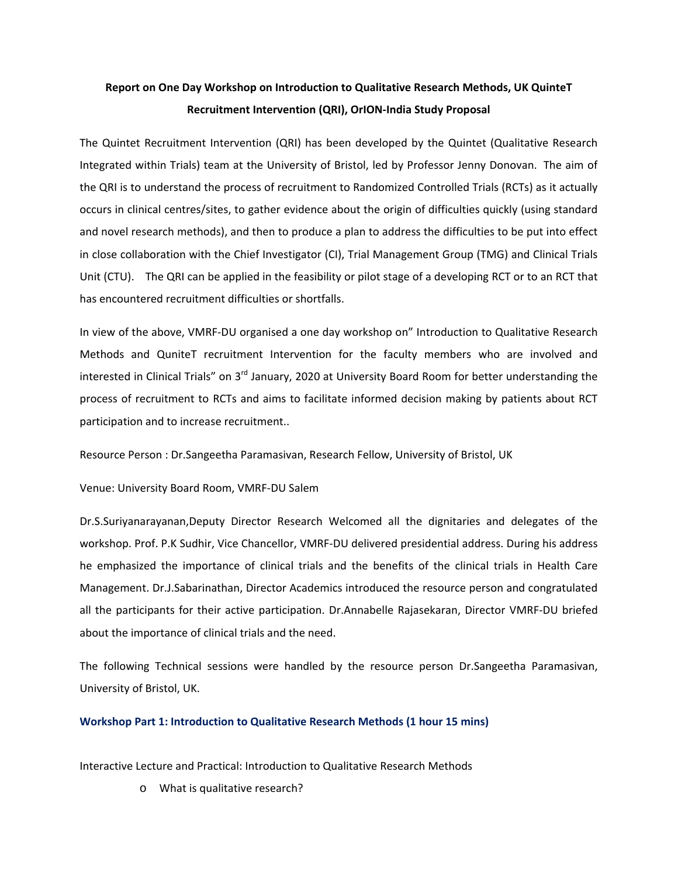## **Report on One Day Workshop on Introduction to Qualitative Research Methods, UK QuinteT Recruitment Intervention (QRI), OrION‐India Study Proposal**

The Quintet Recruitment Intervention (QRI) has been developed by the Quintet (Qualitative Research Integrated within Trials) team at the University of Bristol, led by Professor Jenny Donovan. The aim of the QRI is to understand the process of recruitment to Randomized Controlled Trials (RCTs) as it actually occurs in clinical centres/sites, to gather evidence about the origin of difficulties quickly (using standard and novel research methods), and then to produce a plan to address the difficulties to be put into effect in close collaboration with the Chief Investigator (CI), Trial Management Group (TMG) and Clinical Trials Unit (CTU). The QRI can be applied in the feasibility or pilot stage of a developing RCT or to an RCT that has encountered recruitment difficulties or shortfalls.

In view of the above, VMRF‐DU organised a one day workshop on" Introduction to Qualitative Research Methods and QuniteT recruitment Intervention for the faculty members who are involved and interested in Clinical Trials" on 3<sup>rd</sup> January, 2020 at University Board Room for better understanding the process of recruitment to RCTs and aims to facilitate informed decision making by patients about RCT participation and to increase recruitment..

Resource Person : Dr.Sangeetha Paramasivan, Research Fellow, University of Bristol, UK

Venue: University Board Room, VMRF‐DU Salem

Dr.S.Suriyanarayanan,Deputy Director Research Welcomed all the dignitaries and delegates of the workshop. Prof. P.K Sudhir, Vice Chancellor, VMRF‐DU delivered presidential address. During his address he emphasized the importance of clinical trials and the benefits of the clinical trials in Health Care Management. Dr.J.Sabarinathan, Director Academics introduced the resource person and congratulated all the participants for their active participation. Dr.Annabelle Rajasekaran, Director VMRF‐DU briefed about the importance of clinical trials and the need.

The following Technical sessions were handled by the resource person Dr.Sangeetha Paramasivan, University of Bristol, UK.

## **Workshop Part 1: Introduction to Qualitative Research Methods (1 hour 15 mins)**

Interactive Lecture and Practical: Introduction to Qualitative Research Methods

o What is qualitative research?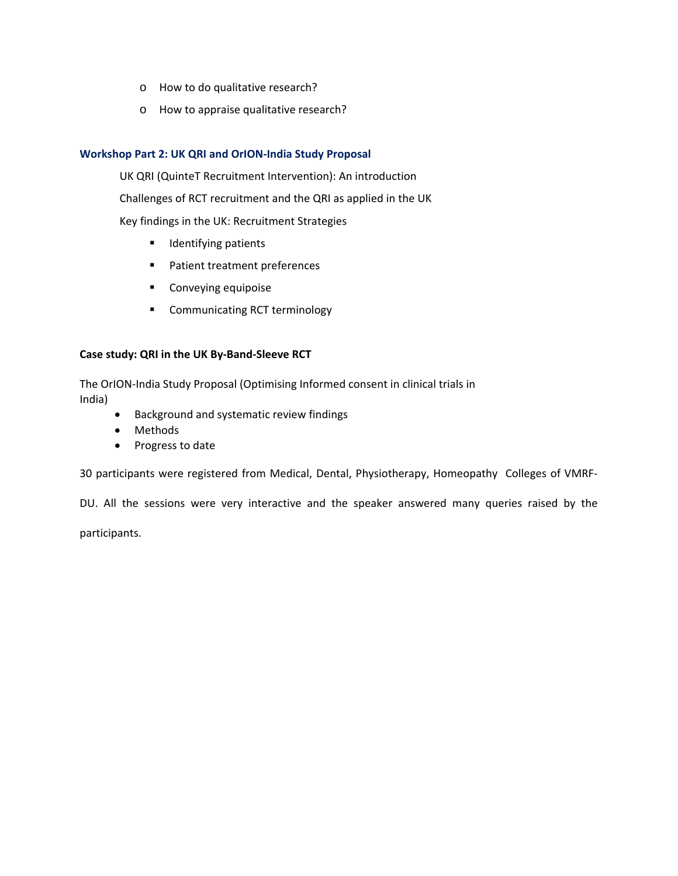- o How to do qualitative research?
- o How to appraise qualitative research?

## **Workshop Part 2: UK QRI and OrION‐India Study Proposal**

UK QRI (QuinteT Recruitment Intervention): An introduction

Challenges of RCT recruitment and the QRI as applied in the UK

Key findings in the UK: Recruitment Strategies

- **IDENTIFY** Identifying patients
- **Patient treatment preferences**
- **•** Conveying equipoise
- **E** Communicating RCT terminology

## **Case study: QRI in the UK By‐Band‐Sleeve RCT**

The OrION‐India Study Proposal (Optimising Informed consent in clinical trials in India)

- Background and systematic review findings
- Methods
- Progress to date

30 participants were registered from Medical, Dental, Physiotherapy, Homeopathy Colleges of VMRF‐

DU. All the sessions were very interactive and the speaker answered many queries raised by the

participants.